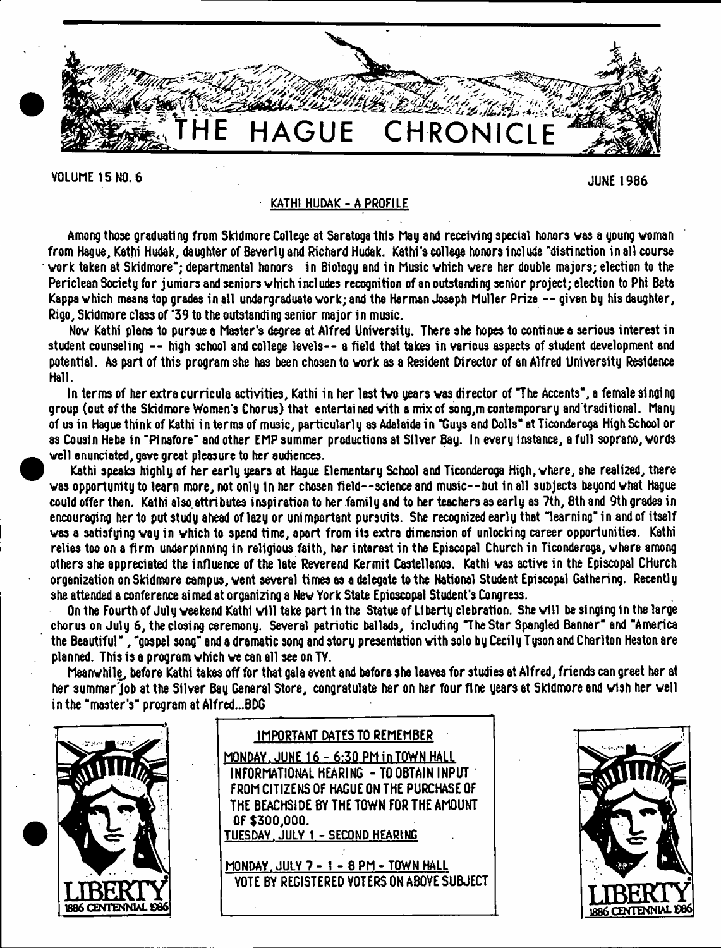

VOLUME 15 NO. 6 JUNE 1986

# KATH1 HUDAK-A PROFILE

Among those graduating from Skidmore College at Saratoga this May and receiving special honors was a young woman from Hague, Kathi Hudak, daughter of Beverly and Richard Hudak. Kathi's college honors include "distinction in all course work taken at Skidmore"; departmental honors in Biology and in Music which were her double majors; election to the Periclean Society for juniors and seniors which includes recognition of an outstanding senior project; election to Phi Beta Kappa which means top grades in all undergraduate work; and the Herman Joseph Muller Pri2e --given by his daughter, Rigo, Skidmore class of '39 to the outstanding senior major in music.

Now Kathi plans to pursue a Master's degree at Alfred University. There she hopes to continue a serious interest in student counseling -- high school and college levels-- a field that takes in various aspects of student development and potential. As part of this program she has been chosen to work as a Resident Director of an Alfred University Residence Hall.

In terms of her extra curricula activities, Kathi in her last two years was director of "The Accents", a female singing group (out of the Skidmore Women's Chorus) that entertained with a mix of song,m contemporary and'treditional. Many of us in Hague think of Kathi interms of music, particularly as Adelaide in "Guys and Dolls" at Ticonderoga High School or as Cousin Hebe in "Pinafore" and other EMP summer productions at Silver Bay. In every Instance, a full soprano, words well enunciated, gave great pleasure to her audiences.

Kathi speaks highly of her early years at Hague Elementary School and Ticonderoga High, where, she realized, there was opportunity to learn more, not only In her chosen field--science and music--but In all subjects beyond what Hague could offer then. Kathi also.attributes inspiration to her family and to her teachers as early as 7th, 8th and 9th grades in encouraging her to put study ahead of lazy or unimportant pursuits. She recognized early that "learning" in and of itself was a satisfying way in which to spend time, apart from its extra dimension of unlocking career opportunities. Kathi relies too on a firm underpinning in religious faith, her interest in the Episcopal Church in Ticonderoga, where among others she appreciated the influence of the late Reverend Kermit Castellanos. Kathi was active in the Episcopal CHurch organization on Skidmore campus, went several times as a delegate to the National Student Episcopal Gathering. Recently she attended a conference aimed at organizing 8 New York State Epioscopal Student's Congress.

On the Fourth of July weekend Kathi will take part 1n the Statue of Liberty clebratlon. She will be singing 1n the large chorus on July 6, the closing ceremony. Several patriotic ballads, including The Star Spangled Banner" and "America the Beautiful", "gospel song" and a dramatic song and story presentation with solo by Cecily Tyson and Charlton Heston are planned. This is a program which we can all see on TV.

Meanwhile, before Kathi takes off for that gala event and before she leaves for studies at Alfred, friends can greet her at her summer'Job at the Silver Bay General Store, congratulate her on her four fine years at Skidmore and wish her well in the "master's" program at A1fred...BDG



# IMPORTANT DATES TO REMEMBER

0F \$300,000. TUESDAY. JULY 1 - SECOND HEARING MONDAY. JUNE16 - 6:30 PM in TOWN HALL INFORMATIONAL HEARING - TO OBTAIN INPUT FROM CITIZENS OF HAGUE ON THE PURCHASE OF THE BEACHS1DE BY THE TOWN FOR THE AMOUNT

MONDAY. JULY 7 - 1 - 8 PM - TOWN HALL VOTE BY REGISTERED VOTERS ON ABOYE SUBJECT

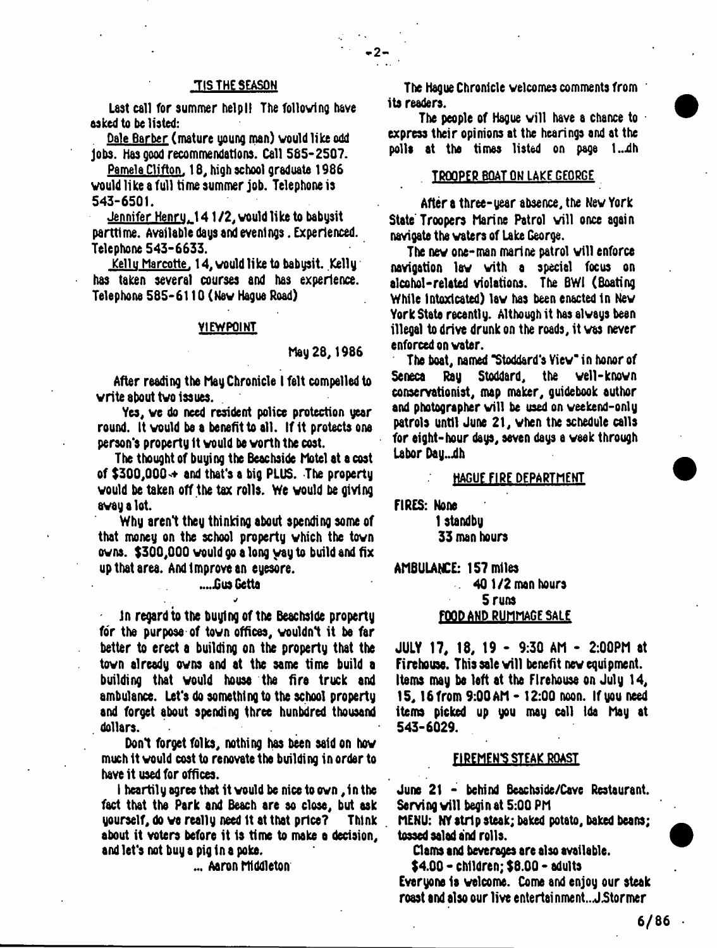# **TIS THE SEASON**

Last call for summer help!! The following have asked to he listed:

Dale Barber (mature young man) would like odd Jobs. Has good recommendations. Call 565-2507.

Pamela Clifton. 18, high school graduate 1986 would like a full time summer job. Telephone is 543-6501.

Jennifer Henru. 141 /2, would like to babysit parttime. Available days and evenings. Experienced. Telephone 543-6633.

<u>Kelly Marcotte.</u> 14, would like to babysit. Kelly has taken several courses and has experience. Telephone 585-6110 (New Hague Road)

#### VIEWPOINT

## hay 28,1986

 $-2$  -

After reading the May Chronicle I felt compelled to write 8bout two issues.

Yes, we do need resident police protection year round. It would be a benefit to all. If it protects one person's property It would be worth the cost.

The thought of buying the Beachside Motel at a cost of  $$300,000 \div$  and that's a big PLUS. The property would be taken off the tax rolls. We would be giving away a lot.

Why aren't they thinking about spending some of that money on the school property which the town owns. \$300,000 would go **a** long yay to build and fix up that area. And Improve an eyesore.

## ....Gus Getta *j*

in regard to the buying of the Beachside property for the purpose of town offices, wouldn't it be far better to erect a building on the property that the town already owns and at the same time build a building that would house the fire truck and ambulance. Let's do something to the school property and forget about spending three hunbdred thousand dollars.

Don't forget folks, nothing has been said on how much it would cost to renovate the building in order to have it used for offices.

I heartily agree that it would be nice to own, in the fact that the Park and Beach are so close, but ask yourself, do we really need It at that price? Think about it voters before it is time to make a decision, and let's not buy **a** pig in **a** poke.

... Aaron Middleton

The Hague Chronicle welcomes comments from ib readers.

The people of Hague will have a chance to express their opinions at the hearings and at the polls at the times listed on page 1..dh

## TROOPER BOAT ON LAKE GEORGE

After a three-year absence, the New York State Troopers Marine Patrol will once again navigate the waters of Lake George.

The new one-man marine patrol will enforce navigation law with a special focus on alcohol-related violations. The 8W1 (Boating While Intoxicated) law has been enacted In New York State recently. Although it has always been illegal to drive drunk on the roads, it was never enforced on wabr.

The boat, named "Stoddard's View" in honor of Seneca Ray Stoddard, the well-known conservationist, map maker, guidebook author and photographer will be used on weekend-only patrols until June 21, when the schedule calls for eight-hour days, seven days a week through Labor Day...dh

## HAGUE FIRE DEPARTMENT

FIRES: None 1 standby 33 man hours

AMBULANCE: 157 miles

# 40 1/2 man hours 5 runs FOOD AND RUMMAGE SALE

JULY 17, 18, 19 - 9:30 AM - 2:00PM at Firehouse. This sale will benefit new equipment. Ibms may be left at the Firehouse on July 14, 15,16 from 9:00 AM - 12:00 noon. If you need ibms picked up you may call Ida May at 543-6029.

## FI REMEN'S STEAK ROAST

June 21 - behind Beachside/Cave Resburant. Serving will begin at 5:00 PM

MENU: NY strip steak; baked potato, baked beans; tossed salad and rolls.

Clams and beverages are also available.

\$4.00 - children; \$8.00 - adults Everyone is welcome. Come and enjoy our steak roast and also our live entertai nment.. JStormer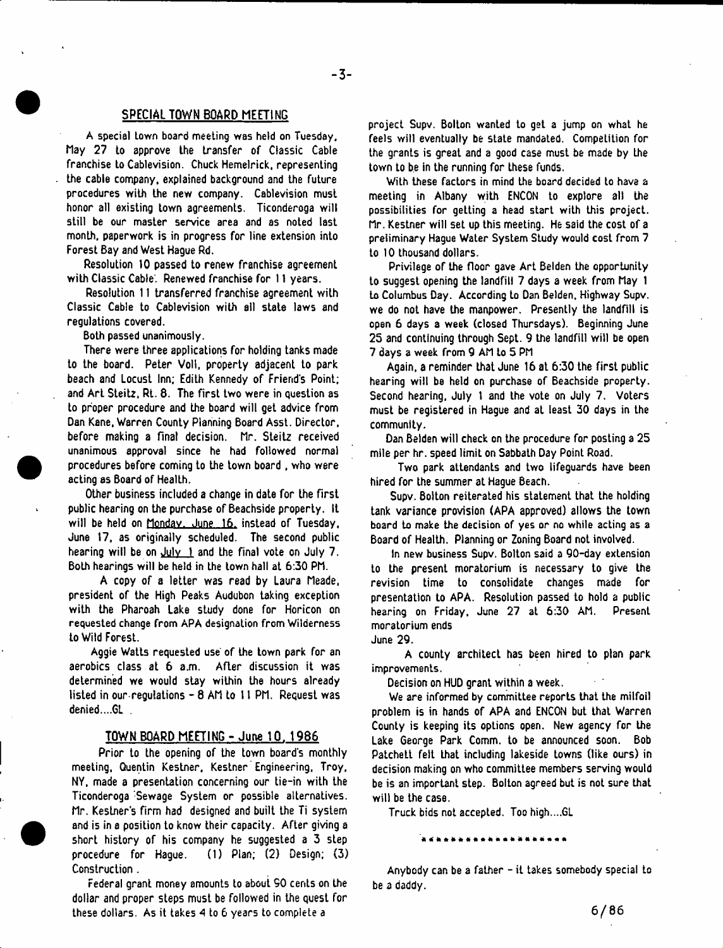## SPECIAL TOWN BOARD MEETING

A special Lown board meeting was held on Tuesday, May 27 to approve the transfer of Classic Cable franchise to Cablevision. Chuck Hemelrick, representing the cable company, explained background and the future procedures with the new company. Cablevision must honor all existing town agreements. Ticonderoga will still be our master service area and as noted last month, paperwork is in progress for line extension into Forest Bay and West Hague Rd.

Resolution 10 passed to renew franchise agreement with Classic Cable. Renewed franchise for 11 years.

Resolution 11 transferred franchise agreement with Classic Cable to Cablevision with all state laws and regulations covered.

Both passed unanimously.

There were three applications for holding tanks made to the board. Peter Voll, property adjacent to park beach and Locust Inn; Edith Kennedy of Friend's Point; and Art Steitz, Rt. 8. The first two were in question as to proper procedure and the board will get advice from Dan Kane, Warren County Planning Board Asst. Director, before making a final decision. Mr. Steitz received unanimous approval since he had followed normal procedures before coming to the town board , who were acting as Board of Health.

Other business included a change in date for the first public hearing on the purchase of Beachside property. It will be held on Monday. June 16, instead of Tuesday, June 17, as originally scheduled. The second public hearing will be on  $July \t{1}$  and the final vote on July 7. Both hearings will be held in the town hall at 6:30 PM.

A copy of a letter was read by Laura Meade, president of the High Peaks Audubon taking exception with the Pharoah Lake study done for Horicon on requested change from APA designation from Wilderness to Wild Forest.

Aggie Watts requested use of the town park for an aerobics class at 6 a.m. After discussion it was determined we would stay within the hours already listed in our regulations - 8 AM to II PM. Request was denied....GL .

#### TOWN BOARD MEETING - June 10. 1986

Prior to the opening of the town board's monthly meeting, Quentin Kestner, Kestner Engineering, Troy, NY, made a presentation concerning our tie-in with the Ticonderoga Sewage System or possible alternatives. Mr. Keslner's firm had designed and built the Ti system and is in a position to know their capacity. After giving a short history of his company he suggested a 3 step procedure for Hague. (1) Plan; (2) Design; (3) Construction.

Federal grant money amounts to about SO cents on the dollar and proper steps must be followed in the quest for these dollars. As it takes *A* to 6 years to complete a

project Supv. Bolton wanted to get a jump on what he feels will eventually be state mandated. Competition for the grants is great and a good case must be made by Lhe town to be in the running for these funds.

With these factors in mind the board decided to have a meeting in Albany with ENCON to explore all the possibilities for getting a head start with this project. Mr. Kestner will set up this meeting. He said the cost of a preliminary Hague Water System Study would cost from 7 to 10 thousand dollars.

Privilege of the floor gave Art Belden the opportunity to suggest opening the landfill 7 days a week from May 1 to Columbus Day. According to Dan Belden, Highway Supv. we do not have the manpower. Presently the landfill is open 6 days a week (closed Thursdays). Beginning June 25 and continuing through Sept. 9 the landfill will be open 7 days a week from 9 AM to 5 PM

Again, a reminder that June 16 at 6:30 the first public hearing will be held on purchase of Beachside property. Second hearing, July 1 and the vote on July 7. Voters must be registered in Hague and at least 30 days in the community.

Dan Belden will check on the procedure for posting a 25 mile per hr. speed limit on Sabbath Day Point Road.

Two park attendants and two lifeguards have been hired for the summer at Hague Beach.

Supv. Bolton reiterated his statement that the holding tank variance provision (APA approved) allows the town board to make the decision of yes or no while acting as a Board of Health. Planning or Zoning Board not involved.

In new business Supv. Bolton said a 90-day extension to the present moratorium is necessary to give the revision time to consolidate changes made for presentation to APA. Resolution passed to hold a public hearing on Friday, June 27 aL 6:30 AM. Present moratorium ends

June 29.

A county architect has been hired to plan park improvements.

Decision on HUD grant within a week.

We are informed by committee reports that the milfoil problem is in hands of APA and ENCON but that Warren County is keeping its options open. New agency for the Lake George Park Comm, to be announced soon. Bob Patchett felt Lhat including lakeside towns (like ours) in decision making on who committee members serving would be is an important step. Bolton agreed but is not sure that will be the case.

Truck bids not accepted. Too high....GL

Anybody can be a father - it takes somebody special to be a daddy.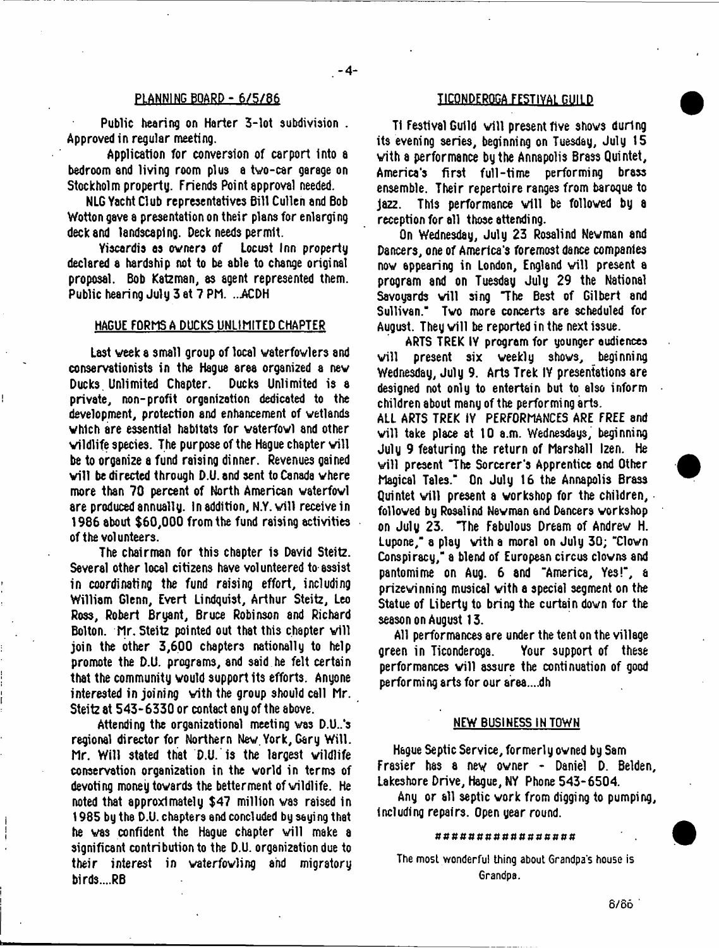#### PLANNING BOARD - 6/5/86 UCQFLORDERQGA FESTIVAL GUILD

Public hearing on Harter 3-lot subdivision . Approved in regular meeting.

Application for conversion of carport Into a bedroom and living room plus a two-car garage on Stockholm property. Friends Point approval needed.

NLG Yacht Club representatives 6i11 Cullen and Bob Wotton gave a presentation on their plans for enlarging deck and landscaping. Deck needs permit.<br>Yiscardis as owners of Locust Inn property

Yiscardis as owners of declared a hardship not to be able to change original proposal. Bob Katzman, as agent represented them. Public hearing July 3 at 7 PM. ...ACDH

# HAGUE FORMS A DUCKS UNLIMITED CHAPTER

Last week a small group of local vaterfovlers and conservationists in the Hague area organized a new Ducks. Unlimited Chapter. private, non-profit organization dedicated to the development, protection and enhancement of wetlands which are essential habitats for waterfowl and other wildlife species. The purpose of the Hague chapter will be to organize a fund raising dinner. Revenues gained will be directed through D.U. and sent to Canada where more than 70 percent of North American waterfowl are produced annually. In addition, N.Y. will receive in 1986 about \$60,000 from the fund raising activities of the volunteers.

The chairman for this chapter is David Steitz. Several other local citizens have volunteered to assist in coordinating the fund raising effort, including William Glenn, Evert Lindquist, Arthur Steitz, Leo Ross, Robert Bryant, Bruce Robinson and Richard Bolton. Mr. Steitz pointed out that this chapter will join the other 3,600 chapters nationally to help promote the D.U. programs, and said he felt certain that the community would support its efforts. Anyone interested in joining with the group should call Mr. Steitz at 543-6330 or contact any of the above.

Attending the organizational meeting was D.U..'s regional director for Northern New, York, Gary Will. Mr. Will stated that D.U. is the largest wildlife conservation organization in the world in terms of devoting money towards the betterment of wildlife. He noted that approximately \$47 million was raised in 1985 by the D.U. chapters end concluded by saying that he was confident the Hague chapter will make a significant contribution to the D.U. organization due to their interest in waterfowling and migratory birds....RB

T1 Festival Guild will present five shows during its evening series, beginning on Tuesday, July 15 with a performance by the Annapolis Brass Quintet, America's first full-time performing brass ensemble. Their repertoire ranges from baroque to jazz. This performance will be followed by a reception for all those attendi ng.

On Wednesday, July 23 Rosalind Newman and Dancers, one of America's foremost dance companies now appearing in London, England will present a program and on Tuesday July 29 the National Savoyards will sing "The Best of Gilbert and Sullivan." Two more concerts are scheduled for August. They will be reported in the next issue.

ARTS TREK IY program for younger audiences will present six weekly shows, beginning Wednesday, July 9. Arts Trek IY presentations are designed not only to entertain but to also inform children about many of the performing arts.

ALL ARTS TREK IY PERFORMANCES ARE FREE and will take place at 10 a.m. Wednesdays, beginning July 9 featuring the return of Marshall Izen. He will present "The Sorcerer's Apprentice and Other Magical Tales." On July 16 the Annapolis Brass Quintet will present a workshop for the children, followed by Rosalind Newman and Dancers workshop on July 23. "The Fabulous Dream of Andrew H. Lupone," a play with a moral on July 30; "Clown Conspiracy," a blend of European circus clowns and pantomime on Aug. 6 and "America, Yes!", a prizewinning musical with a special segment on the Statue of Liberty to bring the curtain down for the season on August 13.

All performances are under the tent on the village green in Ticonderoga. Your support of these performances will assure the continuation of good performing arts for our area....dh

#### NEW BUSINESS IN TOWN

Hague Septic Service, formerly owned by Sam Frasier has a new owner - Daniel D. Belden, Lakeshore Drive, Hague, NY Phone 543-6504.

Any or all septic work from digging to pumping, including repairs. Open year round.

#### ########### *BXUttPU*

The most wonderful thing about Grandpa's house is Grandpa.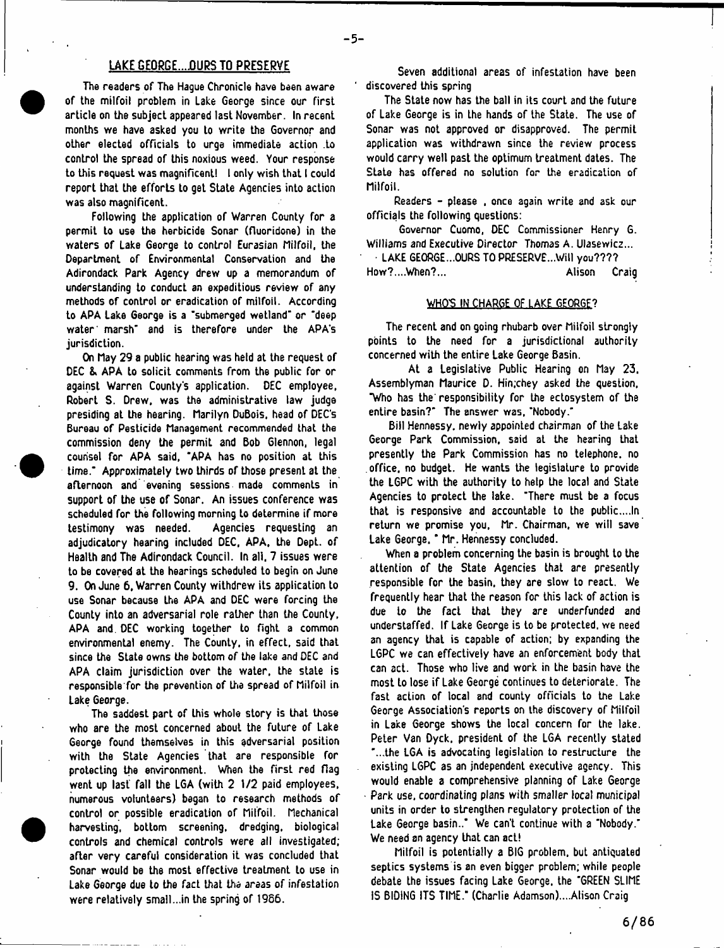## LAKE GEORGE....OURS TO PRESERVE

The readers of The Hague Chronicle have been aware of the milfoil problem in Lake George since our first article on the subject appeared last November. In recent months we have asked you to write the Governor and other elected officials to urge immediate action .to control the spread of this noxious weed. Your response to this request was magnificent! I only wish that I could report that the efforts to get State Agencies into action was also magnificent.

Following the application of Warren County for a permit to use the herbicide Sonar (fluoridone) in the waters of Lake George to control Eurasian Milfoil, the Department of Environmental Conservation and the Adirondack Park Agency drew up a memorandum of understanding to conduct an expeditious review of any methods of control or eradication of milfoil. According to APA Lake George is a 'submerged wetland' or ' deep water' marsh" and is therefore under the APA's jurisdiction.

On May 29 a public hearing was held at the request of DEC & APA to solicit comments from the public for or against Warren County's application. DEC employee, Robert S. Drew, was the administrative law judge presiding at the hearing. Marilyn DuBois, head of DEC'S Bureau of Pesticide Management recommended that the commission deny the permit and Bob 6lennon, legal counsel for APA said, 'APA has no position at this time.' Approximately two thirds of those present at the afternoon and evening sessions made comments in support of the use of Sonar. An issues conference was scheduled for the following morning to determine if more testimony was needed. Agencies requesting an adjudicatory hearing included DEC, APA, the Dept, of Health and The Adirondack Council. In all, 7 issues were to be covered at the hearings scheduled to begin on June 9. On June 6, Warren County withdrew its application to use Sonar because the APA and DEC were forcing the County into an adversarial role rather than the County, APA and. DEC working together to fight a common environmental enemy. The County, in effect, said that since the State owns the bottom of the lake and DEC and APA claim jurisdiction over the water, the state is responsible for the prevention of the spread of Milfoil in Lake George.

The saddest part of this whole story is that those who are the most concerned about the future of Lake George found themselves in this adversarial position with the State Agencies that are responsible for protecting the environment. When the first red flag went up last fall the LGA (with 2 1/2 paid employees, numerous volunteers) began to research methods of control or possible eradication of Milfoil. Mechanical harvesting, bottom screening, dredging, biological controls and chemical controls were all investigated; after very careful consideration it was concluded that Sonar would be the most effective treatment to use in Lake George due to the fact that the areas of infestation were relatively small...in the spring of 1986.

Seven additional areas of infestation have been discovered this spring

The State now has the ball in its court and the future of Lake George is in Lhe hands of the State. The use of Sonar was not approved or disapproved. The permit application was withdrawn since the review process would carry well past the optimum treatment dates. The State has offered no solution for the eradication of Milfoil.

Readers - please , once again write and ask our officials the following questions:

Governor Cuomo, DEC Commissioner Henry G. Williams and Executive Director Thomas A. Ulasewicz...

LAKE GEORGE... OURS TO PRESERVE... Will you???? How?....When?... Alison Craig

#### WHO'S IN CHARGE OF LAKE GEORGE?

The recent and on going rhubarb over Milfoil strongly points to the need for a jurisdictional authority concerned with the entire Lake George Basin.

At a Legislative Public Hearing on May 23. Assemblyman Maurice D. Hin.chey asked the question, "Who has the' responsibility for the ectosystem of the entire basin?' The answer was, 'Nobody.'

Bill Hennessy. newly appointed chairman of the Lake George Park Commission, said at the hearing that presently the Park Commission has no telephone, no office, no budget. He wants the legislature to provide the L6PC with the authority to help the local and State Agencies to protect the lake. 'There must be a focus that is responsive and accountable to the public....In return we promise you, Mr. Chairman, we will save Lake George. ' Mr. Hennessy concluded.

When a problem concerning the basin is brought to the attention of the State Agencies that are presently responsible for the basin, they are slow to react. We frequently hear that the reason for this lack of action is due to the fact that they are underfunded and understaffed. If Lake George is to be protected, we need an agency that is capable of action; by expanding the L6PC we can effectively have an enforcement body that can act. Those who live and work in the basin have the most to lose if Lake George continues to deteriorate. The fast action of local and county officials to the Lake George Association's reports on the discovery of Milfoil in Lake George shows the local concern for the lake. Peter Van Dyck, president of the LGA recently stated '...the LGA is advocating legislation to restructure the existing L6PC as an independent executive agency. This would enable a comprehensive planning of Lake George • Park use. coordinating plans with smaller local municipal units in order to strengthen regulatory protection of the Lake George basin.." We can't continue with a "Nobody.' We need an agency that can act!

Milfoil is potentially a BIG problem, but antiquated septics systems is an even bigger problem; while people debate the issues facing Lake George, the 'GREEN SLIME IS BIDING ITS TIME." (Charlie Adamson)....Alison Craig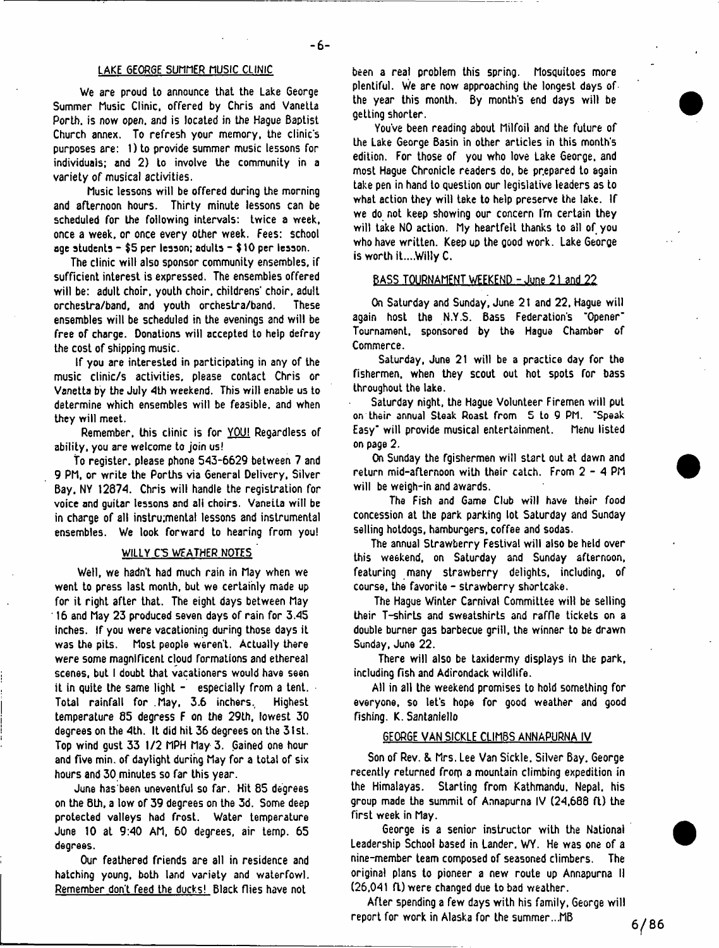#### LAKE GEORGE SUMMER MUSIC CLINIC

We are proud to announce that the Lake George Summer Music Clinic, offered by Chris and Vanetta Porth. is now open, and is located in the Hague Baptist Church annex. To refresh your memory, the clinic's purposes are: 1) to provide summer music lessons for individuals; and 2) to involve the community in a variety of musical activities.

Music lessons will be offered during the morning and afternoon hours. Thirty minute lessons can be scheduled for the following intervals: twice a week, once a week, or once every other week. Fees: school age students - \$5 per lesson; adults - \$ 10 per lesson.

The clinic will also sponsor community ensembles, if sufficient interest is expressed. The ensembles offered will be: adult choir, youth choir, childrens' choir, adult orchestra/band, and youth orchestra/band. These ensembles will be scheduled in the evenings and will be free of charge. Donations will accepted to help defray the cost of shipping music.

If you are interested in participating in any of the music clinic/s activities, please contact Chris or Vanetta by the July 4th weekend. This will enable us to determine which ensembles will be feasible, and when they will meet.

Remember, this clinic is for YOU! Regardless of ability, you are welcome to join us!

To register, please phone 543-6629 between 7 and 9 PM, or write the Porths via 6eneral Delivery, Silver Bay. NY 12874. Chris will handle the registration for voice and guitar lessons and all choirs. Vanetta will be in charge of all instrumental lessons and instrumental ensembles. We look forward to hearing from you!

#### WILLY C5 WEATHER NOTES

Well, we hadn't had much rain in May when we went to press last month, but we certainly made up for it right after that. The eight days between May ' 16 and May 23 produced seven days of rain for 3.45 inches. If you were vacationing during those days it was the pits. Most people weren't. Actually there were some magnificent cloud formations and ethereal scenes, but I doubt that vacationers would have seen it in quite the same light  $-$  especially from a tent. Total rainfall for .May, 3.6 inchers. Highest temperature 85 degress F on the 29th, lowest 30 degrees on the 4th. It did hit 36 degrees on the 31st. Top wind gust 33 1/2 MPH May 3. Gained one hour and five min. of daylight during May for a total of six hours and 30 minutes so far this year.

June has been uneventful so far. Hit 85 degrees on the 8th, a low of 39 degrees on the 3d. Some deep protected valleys had frost. Water temperature June 10 at 9:40 AM, 60 degrees, air temp. 65 degrees.

Our feathered friends are all in residence and hatching young, both land variety and waterfowl. Remember don't feed the ducks! Black flies have not

been a real problem this spring. Mosquitoes more plentiful. We are now approaching the longest days of the year this month. By month's end days will be getting shorter.

You've been reading about Milfoil and the future of the Lake George Basin in other articles in this month's edition. For those of you who love Lake George, and most Hague Chronicle readers do, be prepared to again take pen in hand to question our legislative leaders as to what action they will take to help preserve the lake. If we do not keep showing our concern I'm certain they will take NO action. My heartfelt thanks to all of you who have written. Keep up the good work. Lake George is worth it....Willy C.

#### BASS TOURNAMENT WEEKEND - June 21 and 22

On Saturday and Sunday, June 21 and 22. Hague will again host the N.Y.S. Bass Federation's "Opener" Tournament, sponsored by the Hague Chamber of Commerce.

SaLurday, June 21 will be a practice day for the fishermen, when they scout out hot spots for bass throughout the lake.

Saturday night, the Hague Volunteer Firemen will put on their annual Steak Roast from 5 to 9 PM. "Speak Easy" will provide musical entertainment. Menu listed on page 2.

On Sunday the fgishermen will start out at dawn and return mid-afternoon with their catch. From 2 - 4 PM will be weigh-in and awards.

The Fish and Game Club will have their food concession at the park parking lot Saturday and Sunday selling hotdogs, hamburgers, coffee and sodas.

The annual Strawberry Festival will also be held over this weekend, on Saturday and Sunday afternoon, featuring many strawberry delights, including, of course, the favorite - strawberry shortcake.

The Hague Winter Carnival Committee will be selling their T-shirts and sweatshirts and raffle tickets on a double burner gas barbecue grill, the winner to be drawn Sunday, June 22.

There will also be taxidermy displays in the park, including fish and Adirondack wildlife.

All in all the weekend promises to hold something for everyone, so let's hope for good weather and good fishing. K. Santaniello

#### GEORGE VAN SICKLE CLIMBS ANNAPURNA IV

Son of Rev. & Mrs. Lee Van Sickle. Silver Bay. George recently returned from a mountain climbing expedition in the Himalayas. Starting from Kathmandu. Nepal, his group made the summit of Annapurna IV (24,688 ft) the first week in May.

George is a senior instructor with the National Leadership School based in Lander. WY. He was one of a nine-member team composed of seasoned climbers. The original plans to pioneer a new route up Annapurna II (26.041 ft) were changed due to bad weather.

After spending a few days with his family. George will report for work in Alaska for the summer...MB

 $6/86$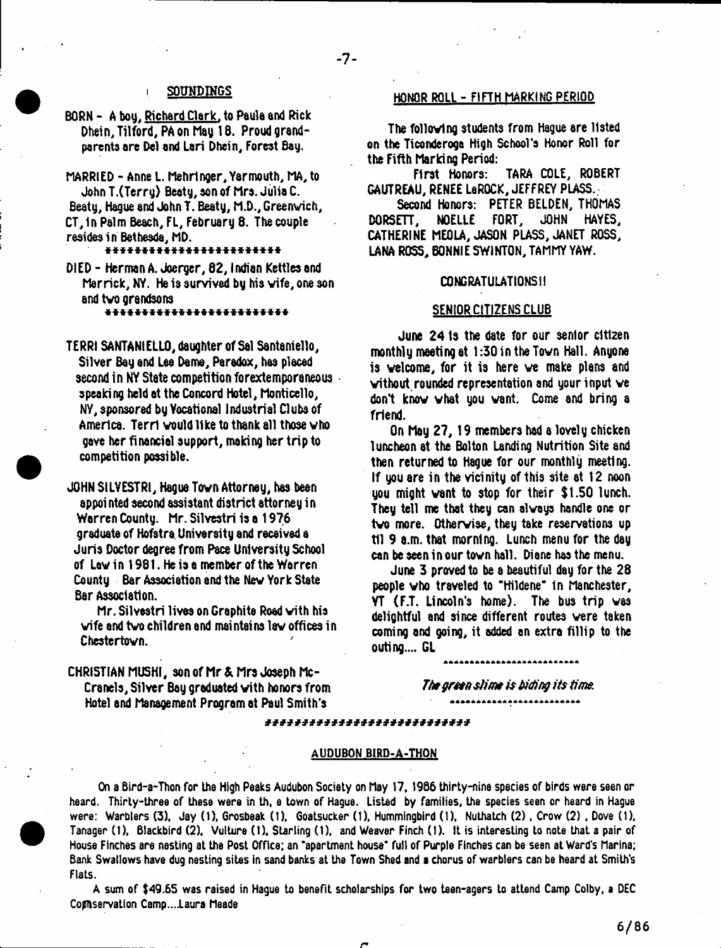## i SOUNDINGS

## BORN - A bou. Richard Clark, to Paula and Rick Dhein, Tilford, PA on May 18. Proud grandparents are Del and Lari Dhein, Forest Bag.

MARRIED - Anne L. Mehrtnger, Yarmouth, MA, to John T.(Terrg) Beaty, son of Mrs. Julia C. Beaty, Hague and John T. Beaty, M.D., Greenwich, CT,1n Palm Beach, FL, February 8. The couple resides in Bethesda, MD.

#### \* \* \* \* \* \* \* \* \* \* \* \* \* \* \* \* \* \* \* \* \* \* \* \*

DIED - Herman A. Joerger, 82,1ndian Kettles and Merrick, NY. He is survived by his wife, one son and two grandsons

#### \* \* \* \* \* \* \* \* \* \* \* \* \* \* \* \* \* \* \* \* \* \* \* \* \*

TERRI SANTANIELLO, daughter of Sal Santaniello, Silver Bag and Lee Dame, Paradox, has placed second in NY State competition forextemporaneous speaking held at the Concord Hotel, Monticello, NY, sponsored by Vocational Industrial Clubs of America. Terri would like to thank all those who gave her financial support, making her trip to competition possible.

JOHN SILVESTRI, Hague Town Attorney, has been appoi nted second assistant district attorney i n Warren County. Mr. SilYestri is a 1976 graduate of Hofstra. University and received a Juris Doctor degree from Pace University School of Law in 1981. He is a member of the Warren County Bar Association and the New York State Bar Association.

Mr. Silvestri lives on Graphite Road with his wife and two children and maintains law offices in Chestertown.

## HONOR ROLL - FIFTH MARKING PERIOD

The following students from Hague are listed on the Ticonderoga High School's Honor Roll for the Fifth Marking Period:

First Honors: TARA COLE, ROBERT GAUTREAU, RENEE LeROCK, JEFFREY PLASS.

Second Honors: PETER BELDEN, THOMAS<br>ETT. NOELLE FORT. JOHN HAYES.  $DORSETT$ , NOELLE FORT, CATHERINE MEOLA, JASON PLASS, JANET ROSS, LANA ROSS, BONNIE SWINTON, TAMMY YAW.

#### CONGRATULATIONS II

### SENIOR CITIZENS CLUB

June 24 Is the date for our senior citizen monthly meeting at 1:30 in the Town Hall. Anyone is welcome, for it is here we make plans and without rounded representation and your input we don't know what you want. Come and bring a friend.

On May 27,19 members had a lovely chicken luncheon at the Bolton Landing Nutrition Site and then returned to Hague for our monthly meeting. If you are in the vicinity of this site at 12 noon you might want to stop for their \$1.50 lunch. They tell me that they can always handle one or two more. Otherwise, they take reservations up til 9 a.m. that morning. Lunch menu for the day can be seen in our town hall. Diane has the menu.

June 3 proved to be a beautiful day for the 28 people who traveled to "Hildene" In Manchester, VT (F.T. Lincoln's home). The bus trip was delightful and since different routes were taken coming and going, it added an extra fillip to the outing.... GL

CHRISTIAN MUSHI, son of Mr & Mrs Joseph Mc-Cranels, Silver Bay graduated with honors from Hotel and Management Program at Paul Smith's

*Jhe green slime is biding its time.*

#### *\* \* \* \* \* \* \* \* \* \* \* \* \* \* \* \* \* \* \* \* \* \* \* \* \* \* \* \**

#### AUDUBON BIRD-A-THON

On a Bird-a-Thon for the High Peaks Audubon Society on Flay 17, 1986 thirty-nine species of birds were seen or heard. Thirty-three of these were in th, e town of Hague. Listed by families, the species seen or heard in Hague were: Warblers (3). Jay (1). Grosbeak (1). Goatsucker (1). Hummingbird (1). Nuthatch (2). Crow (2). Dove (1). Tanager (1), Blackbird (2). Vulture (I), Starling (1), and Weaver Finch (1). It is interesting to note that a pair of House Finches are nesting at the Post Office; an 'apartment house\* full of Purple Finches can be seen at Ward's Marina; Bank Swallows have dug nesting sites in sand banks at the Town Shed and a chorus of warblers can be heard at Smith's Flats.

A sum of \$49.65 was raised in Hague to benefit scholarships for two teen-agers to attend Camp Colby, a DEC Conservation Camp....Laura Meade

*r*